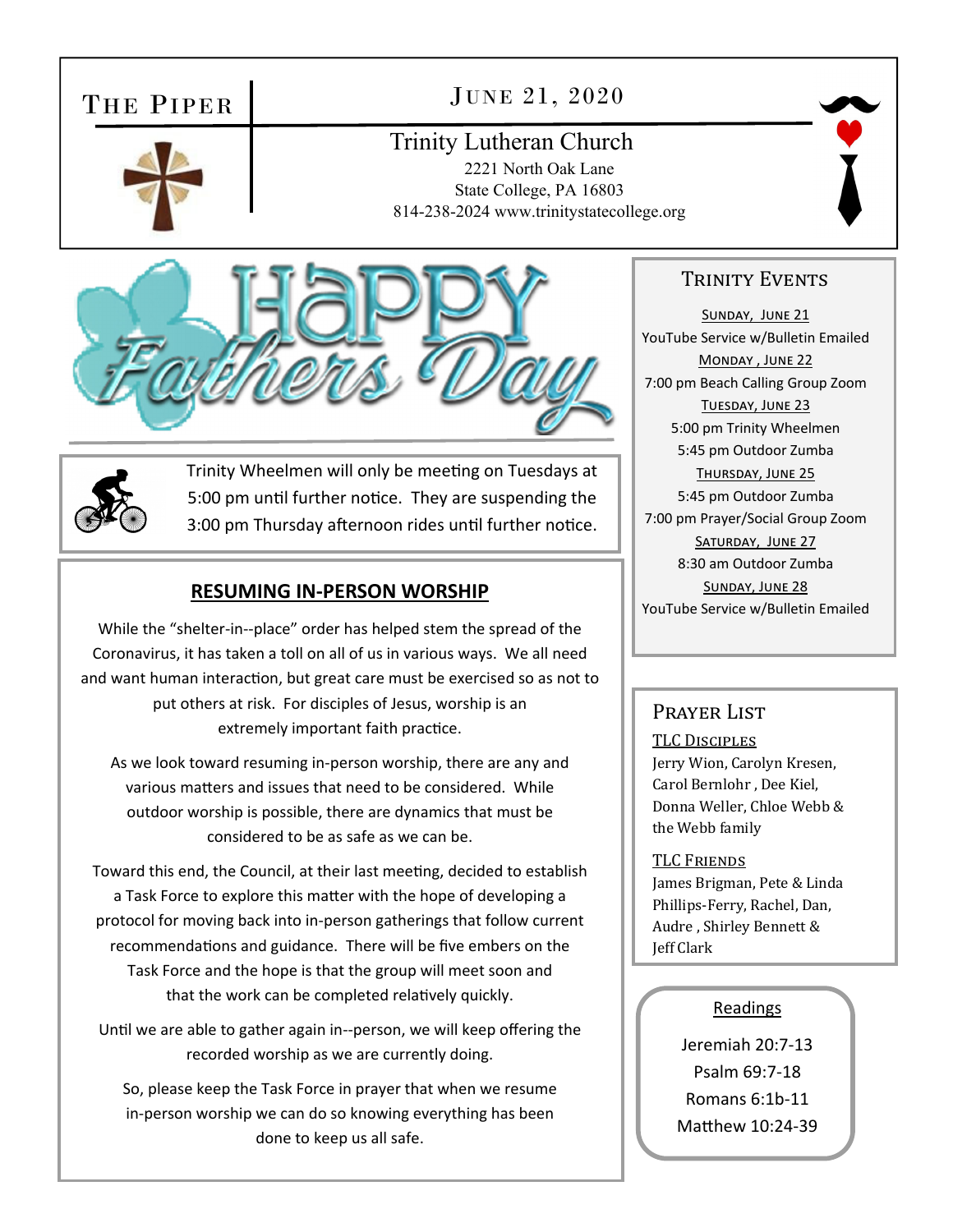### THE PIPER

### JUNE 21, 2020

# Trinity Lutheran Church

2221 North Oak Lane State College, PA 16803 814-238-2024 www.trinitystatecollege.org







Trinity Wheelmen will only be meeting on Tuesdays at 5:00 pm until further notice. They are suspending the 3:00 pm Thursday afternoon rides until further notice.

#### **RESUMING IN‐PERSON WORSHIP**

While the "shelter-in--place" order has helped stem the spread of the Coronavirus, it has taken a toll on all of us in various ways. We all need and want human interaction, but great care must be exercised so as not to put others at risk. For disciples of Jesus, worship is an extremely important faith practice.

As we look toward resuming in‐person worship, there are any and various matters and issues that need to be considered. While outdoor worship is possible, there are dynamics that must be considered to be as safe as we can be.

Toward this end, the Council, at their last meeting, decided to establish a Task Force to explore this matter with the hope of developing a protocol for moving back into in‐person gatherings that follow current recommendations and guidance. There will be five embers on the Task Force and the hope is that the group will meet soon and that the work can be completed relatively quickly.

Until we are able to gather again in--person, we will keep offering the recorded worship as we are currently doing.

So, please keep the Task Force in prayer that when we resume in‐person worship we can do so knowing everything has been done to keep us all safe.

#### TRINITY EVENTS

SUNDAY, JUNE 21 YouTube Service w/Bulletin Emailed MONDAY, JUNE 22 7:00 pm Beach Calling Group Zoom TUESDAY, JUNE 23 5:00 pm Trinity Wheelmen 5:45 pm Outdoor Zumba THURSDAY, JUNE 25 5:45 pm Outdoor Zumba 7:00 pm Prayer/Social Group Zoom SATURDAY, JUNE 27 8:30 am Outdoor Zumba SUNDAY, JUNE 28 YouTube Service w/Bulletin Emailed

#### PRAYER LIST

TLC DISCIPLES

Jerry Wion, Carolyn Kresen, Carol Bernlohr , Dee Kiel, Donna Weller, Chloe Webb & the Webb family

#### TLC FRIENDS

James Brigman, Pete & Linda Phillips-Ferry, Rachel, Dan, Audre , Shirley Bennett & Jeff Clark

#### Readings

Jeremiah 20:7‐13 Psalm 69:7‐18 Romans 6:1b‐11 Matthew 10:24-39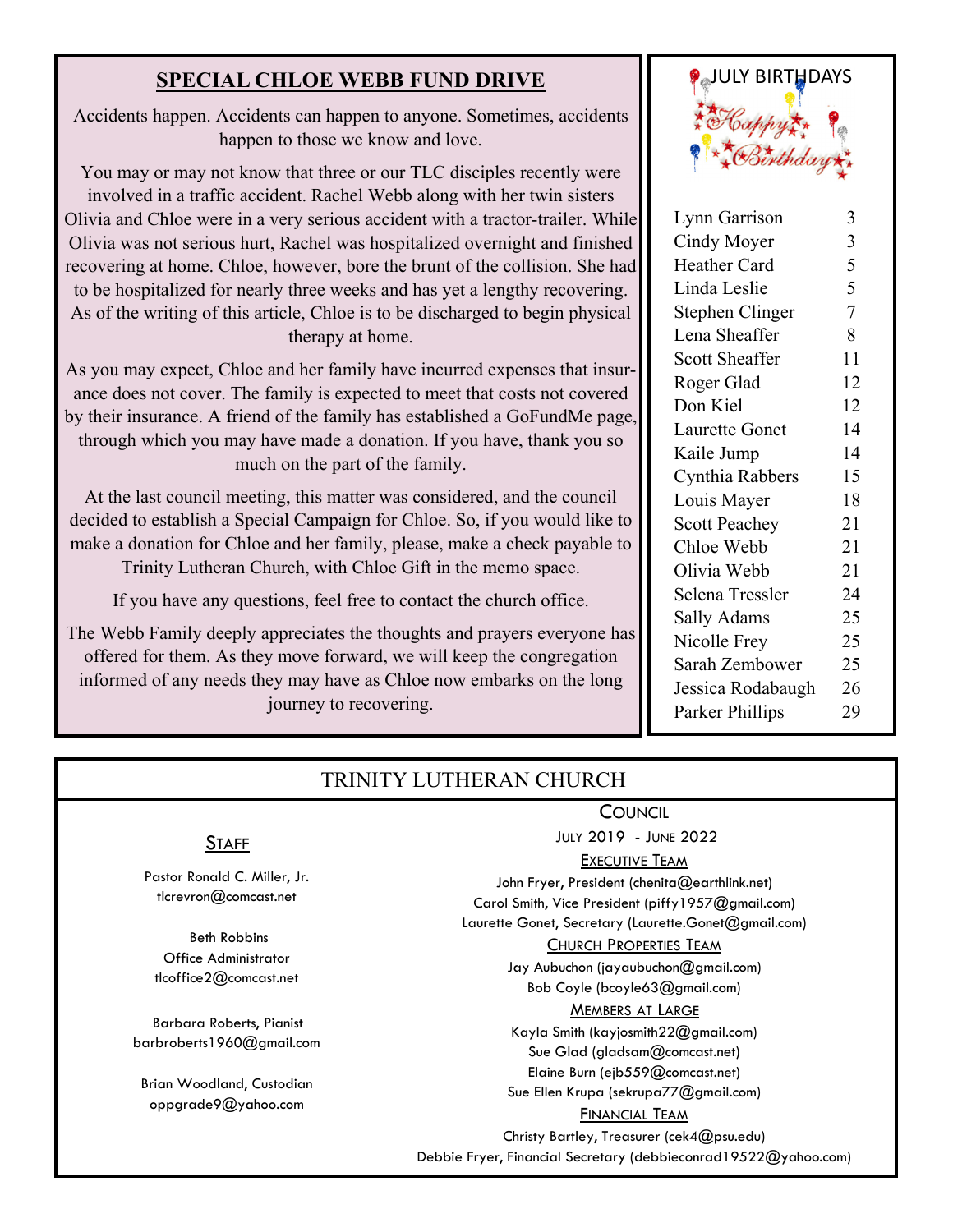Accidents happen. Accidents can happen to anyone. Sometimes, accidents happen to those we know and love.

You may or may not know that three or our TLC disciples recently were involved in a traffic accident. Rachel Webb along with her twin sisters Olivia and Chloe were in a very serious accident with a tractor-trailer. While Olivia was not serious hurt, Rachel was hospitalized overnight and finished recovering at home. Chloe, however, bore the brunt of the collision. She had to be hospitalized for nearly three weeks and has yet a lengthy recovering. As of the writing of this article, Chloe is to be discharged to begin physical therapy at home.

As you may expect, Chloe and her family have incurred expenses that insurance does not cover. The family is expected to meet that costs not covered by their insurance. A friend of the family has established a GoFundMe page, through which you may have made a donation. If you have, thank you so much on the part of the family.

At the last council meeting, this matter was considered, and the council decided to establish a Special Campaign for Chloe. So, if you would like to make a donation for Chloe and her family, please, make a check payable to Trinity Lutheran Church, with Chloe Gift in the memo space.

If you have any questions, feel free to contact the church office.

The Webb Family deeply appreciates the thoughts and prayers everyone has offered for them. As they move forward, we will keep the congregation informed of any needs they may have as Chloe now embarks on the long journey to recovering.



| Lynn Garrison         | 3              |
|-----------------------|----------------|
| Cindy Moyer           | 3              |
| <b>Heather Card</b>   | 5              |
| Linda Leslie          | 5              |
| Stephen Clinger       | $\overline{7}$ |
| Lena Sheaffer         | 8              |
| <b>Scott Sheaffer</b> | 11             |
| Roger Glad            | 12             |
| Don Kiel              | 12             |
| <b>Laurette Gonet</b> | 14             |
| Kaile Jump            | 14             |
| Cynthia Rabbers       | 15             |
| Louis Mayer           | 18             |
| <b>Scott Peachey</b>  | 21             |
| Chloe Webb            | 21             |
| Olivia Webb           | 21             |
| Selena Tressler       | 24             |
| Sally Adams           | 25             |
| Nicolle Frey          | 25             |
| Sarah Zembower        | 25             |
| Jessica Rodabaugh     | 26             |
| Parker Phillips       | 29             |
|                       |                |

#### TRINITY LUTHERAN CHURCH

#### **COUNCIL**

JULY 2019 - JUNE 2022

EXECUTIVE TEAM

John Fryer, President (chenita@earthlink.net) Carol Smith, Vice President (piffy1957@gmail.com) Laurette Gonet, Secretary (Laurette.Gonet@gmail.com)

CHURCH PROPERTIES TEAM

Jay Aubuchon (jayaubuchon@gmail.com) Bob Coyle (bcoyle63@gmail.com)

#### MEMBERS AT LARGE

Kayla Smith (kayjosmith22@gmail.com) Sue Glad (gladsam@comcast.net) Elaine Burn (ejb559@comcast.net) Sue Ellen Krupa (sekrupa77@gmail.com)

#### FINANCIAL TEAM

Christy Bartley, Treasurer (cek4@psu.edu)

Debbie Fryer, Financial Secretary (debbieconrad19522@yahoo.com)

#### **STAFF**

Pastor Ronald C. Miller, Jr. tlcrevron@comcast.net

 Beth Robbins Office Administrator tlcoffice2@comcast.net

Barbara Roberts, Pianist barbroberts1960@gmail.com

Brian Woodland, Custodian oppgrade9@yahoo.com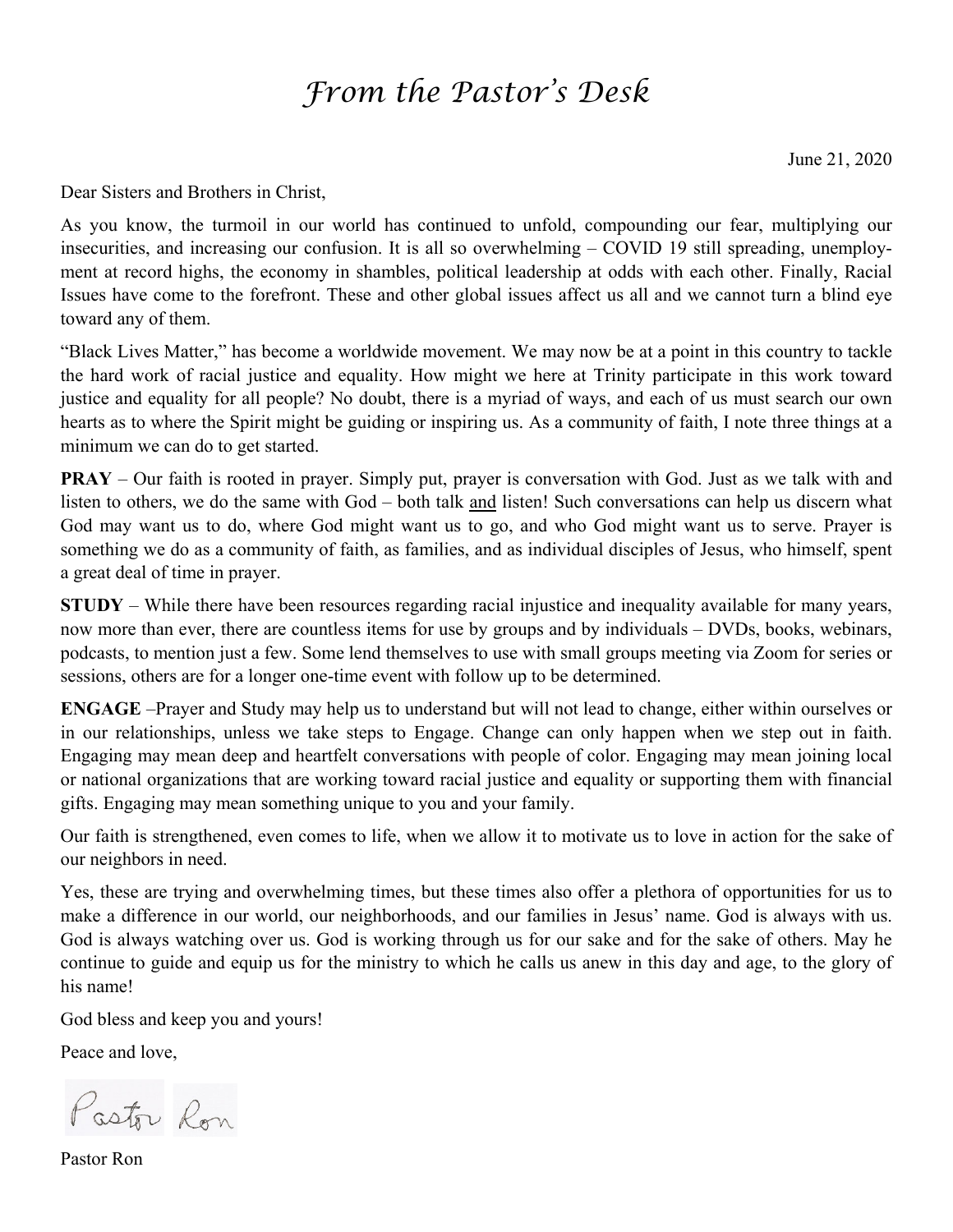## *From the Pastor's Desk*

June 21, 2020

Dear Sisters and Brothers in Christ,

As you know, the turmoil in our world has continued to unfold, compounding our fear, multiplying our insecurities, and increasing our confusion. It is all so overwhelming – COVID 19 still spreading, unemployment at record highs, the economy in shambles, political leadership at odds with each other. Finally, Racial Issues have come to the forefront. These and other global issues affect us all and we cannot turn a blind eye toward any of them.

"Black Lives Matter," has become a worldwide movement. We may now be at a point in this country to tackle the hard work of racial justice and equality. How might we here at Trinity participate in this work toward justice and equality for all people? No doubt, there is a myriad of ways, and each of us must search our own hearts as to where the Spirit might be guiding or inspiring us. As a community of faith, I note three things at a minimum we can do to get started.

**PRAY** – Our faith is rooted in prayer. Simply put, prayer is conversation with God. Just as we talk with and listen to others, we do the same with God – both talk and listen! Such conversations can help us discern what God may want us to do, where God might want us to go, and who God might want us to serve. Prayer is something we do as a community of faith, as families, and as individual disciples of Jesus, who himself, spent a great deal of time in prayer.

**STUDY** – While there have been resources regarding racial injustice and inequality available for many years, now more than ever, there are countless items for use by groups and by individuals – DVDs, books, webinars, podcasts, to mention just a few. Some lend themselves to use with small groups meeting via Zoom for series or sessions, others are for a longer one-time event with follow up to be determined.

**ENGAGE** –Prayer and Study may help us to understand but will not lead to change, either within ourselves or in our relationships, unless we take steps to Engage. Change can only happen when we step out in faith. Engaging may mean deep and heartfelt conversations with people of color. Engaging may mean joining local or national organizations that are working toward racial justice and equality or supporting them with financial gifts. Engaging may mean something unique to you and your family.

Our faith is strengthened, even comes to life, when we allow it to motivate us to love in action for the sake of our neighbors in need.

Yes, these are trying and overwhelming times, but these times also offer a plethora of opportunities for us to make a difference in our world, our neighborhoods, and our families in Jesus' name. God is always with us. God is always watching over us. God is working through us for our sake and for the sake of others. May he continue to guide and equip us for the ministry to which he calls us anew in this day and age, to the glory of his name!

God bless and keep you and yours!

Peace and love,

Pastor Ron

Pastor Ron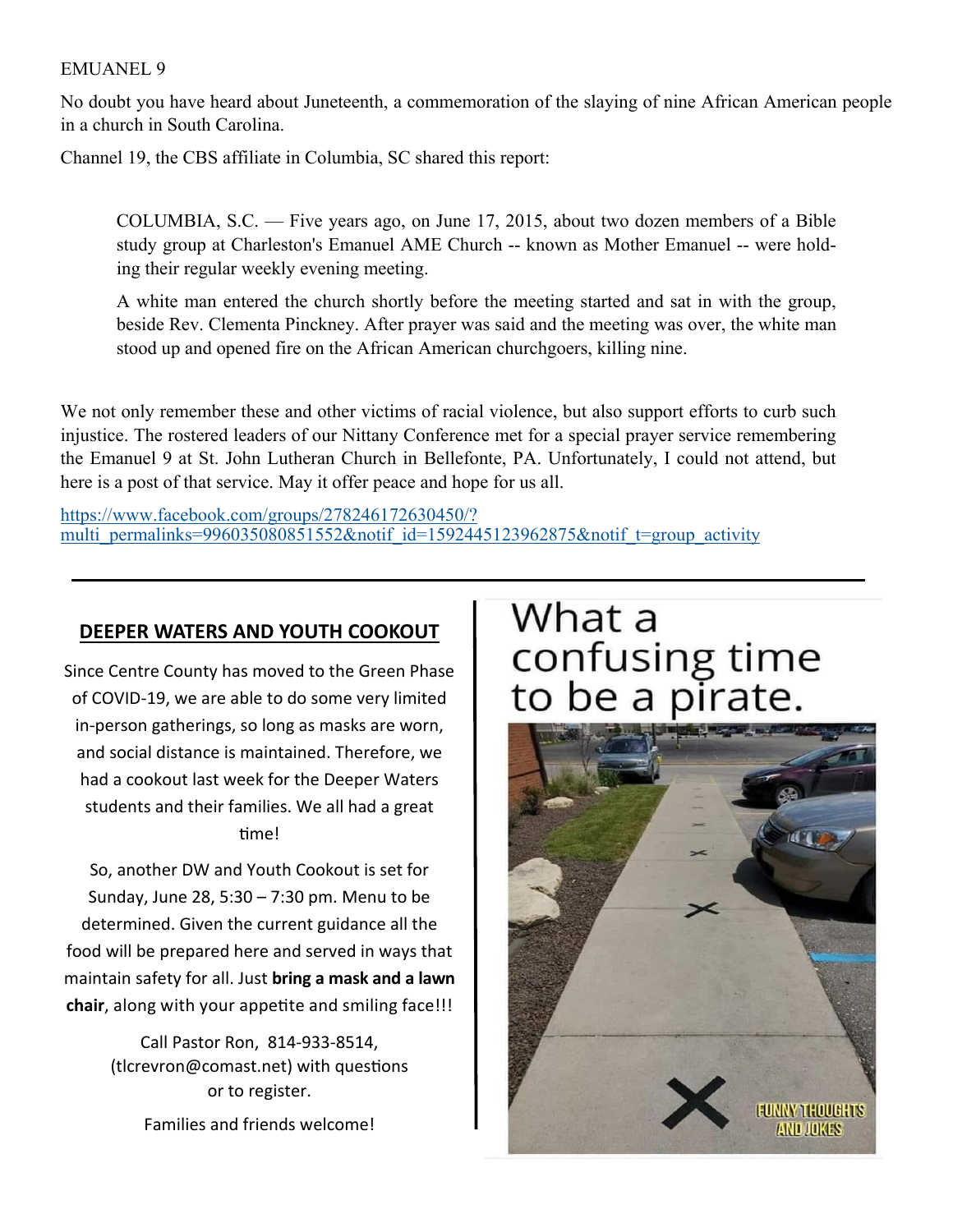#### EMUANEL 9

No doubt you have heard about Juneteenth, a commemoration of the slaying of nine African American people in a church in South Carolina.

Channel 19, the CBS affiliate in Columbia, SC shared this report:

COLUMBIA, S.C. — Five years ago, on June 17, 2015, about two dozen members of a Bible study group at Charleston's Emanuel AME Church -- known as Mother Emanuel -- were holding their regular weekly evening meeting.

A white man entered the church shortly before the meeting started and sat in with the group, beside Rev. Clementa Pinckney. After prayer was said and the meeting was over, the white man stood up and opened fire on the African American churchgoers, killing nine.

We not only remember these and other victims of racial violence, but also support efforts to curb such injustice. The rostered leaders of our Nittany Conference met for a special prayer service remembering the Emanuel 9 at St. John Lutheran Church in Bellefonte, PA. Unfortunately, I could not attend, but here is a post of that service. May it offer peace and hope for us all.

https://www.facebook.com/groups/278246172630450/? multi permalinks=996035080851552&notif id=1592445123962875&notif t=group activity

#### **DEEPER WATERS AND YOUTH COOKOUT**

Since Centre County has moved to the Green Phase of COVID‐19, we are able to do some very limited in‐person gatherings, so long as masks are worn, and social distance is maintained. Therefore, we had a cookout last week for the Deeper Waters students and their families. We all had a great Ɵme!

So, another DW and Youth Cookout is set for Sunday, June 28, 5:30 – 7:30 pm. Menu to be determined. Given the current guidance all the food will be prepared here and served in ways that maintain safety for all. Just **bring a mask and a lawn chair**, along with your appetite and smiling face!!!

> Call Pastor Ron, 814‐933‐8514, (tlcrevron@comast.net) with questions or to register.

> > Families and friends welcome!

# What a confusing time<br>to be a pirate.